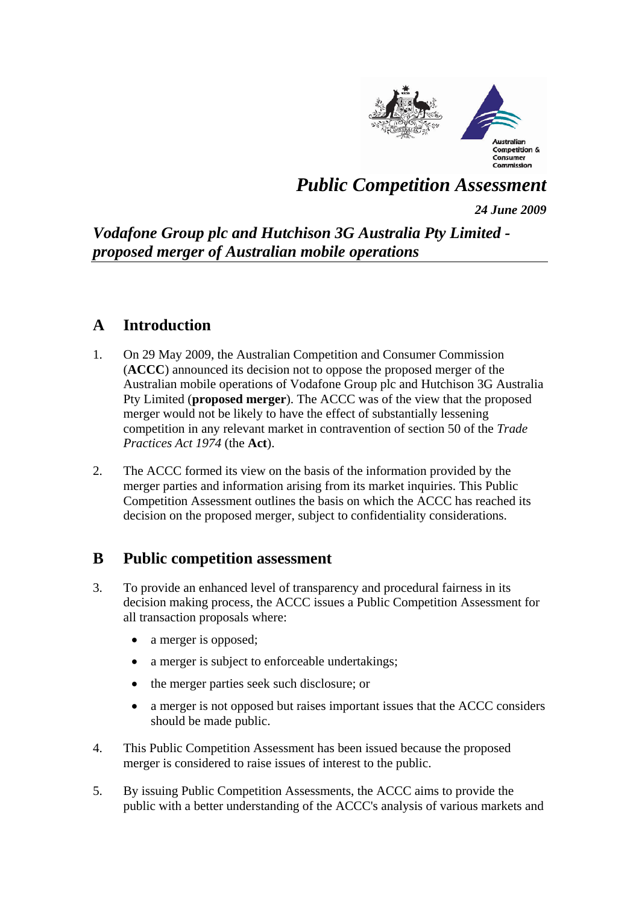

# *Public Competition Assessment*

*24 June 2009*

## *Vodafone Group plc and Hutchison 3G Australia Pty Limited proposed merger of Australian mobile operations*

## **A Introduction**

- 1. On 29 May 2009, the Australian Competition and Consumer Commission (**ACCC**) announced its decision not to oppose the proposed merger of the Australian mobile operations of Vodafone Group plc and Hutchison 3G Australia Pty Limited (**proposed merger**). The ACCC was of the view that the proposed merger would not be likely to have the effect of substantially lessening competition in any relevant market in contravention of section 50 of the *Trade Practices Act 1974* (the **Act**).
- 2. The ACCC formed its view on the basis of the information provided by the merger parties and information arising from its market inquiries. This Public Competition Assessment outlines the basis on which the ACCC has reached its decision on the proposed merger, subject to confidentiality considerations.

## **B Public competition assessment**

- 3. To provide an enhanced level of transparency and procedural fairness in its decision making process, the ACCC issues a Public Competition Assessment for all transaction proposals where:
	- a merger is opposed;
	- a merger is subject to enforceable undertakings;
	- the merger parties seek such disclosure; or
	- a merger is not opposed but raises important issues that the ACCC considers should be made public.
- 4. This Public Competition Assessment has been issued because the proposed merger is considered to raise issues of interest to the public.
- 5. By issuing Public Competition Assessments, the ACCC aims to provide the public with a better understanding of the ACCC's analysis of various markets and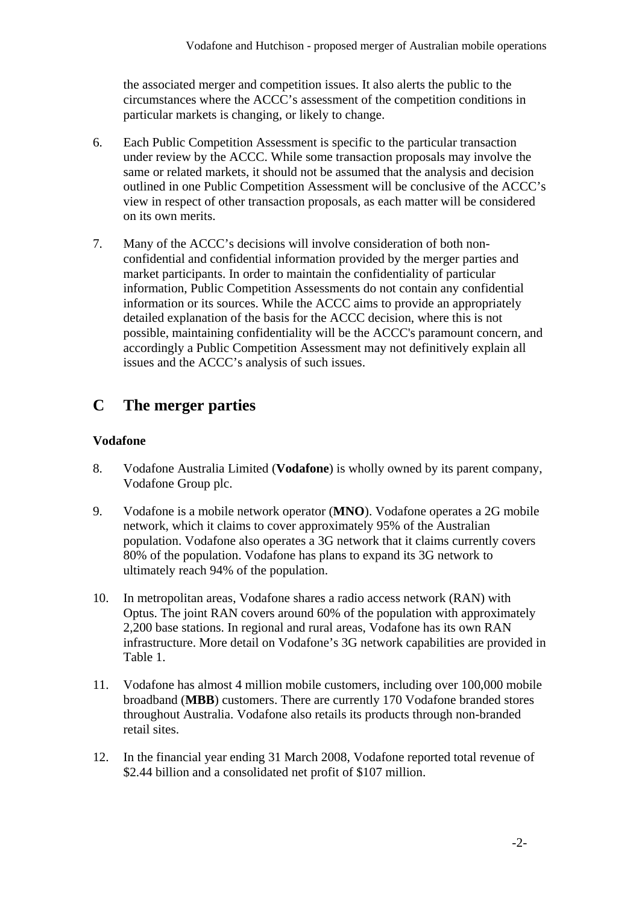the associated merger and competition issues. It also alerts the public to the circumstances where the ACCC's assessment of the competition conditions in particular markets is changing, or likely to change.

- 6. Each Public Competition Assessment is specific to the particular transaction under review by the ACCC. While some transaction proposals may involve the same or related markets, it should not be assumed that the analysis and decision outlined in one Public Competition Assessment will be conclusive of the ACCC's view in respect of other transaction proposals, as each matter will be considered on its own merits.
- 7. Many of the ACCC's decisions will involve consideration of both nonconfidential and confidential information provided by the merger parties and market participants. In order to maintain the confidentiality of particular information, Public Competition Assessments do not contain any confidential information or its sources. While the ACCC aims to provide an appropriately detailed explanation of the basis for the ACCC decision, where this is not possible, maintaining confidentiality will be the ACCC's paramount concern, and accordingly a Public Competition Assessment may not definitively explain all issues and the ACCC's analysis of such issues.

## **C The merger parties**

### **Vodafone**

- 8. Vodafone Australia Limited (**Vodafone**) is wholly owned by its parent company, Vodafone Group plc.
- 9. Vodafone is a mobile network operator (**MNO**). Vodafone operates a 2G mobile network, which it claims to cover approximately 95% of the Australian population. Vodafone also operates a 3G network that it claims currently covers 80% of the population. Vodafone has plans to expand its 3G network to ultimately reach 94% of the population.
- 10. In metropolitan areas, Vodafone shares a radio access network (RAN) with Optus. The joint RAN covers around 60% of the population with approximately 2,200 base stations. In regional and rural areas, Vodafone has its own RAN infrastructure. More detail on Vodafone's 3G network capabilities are provided in Table 1.
- 11. Vodafone has almost 4 million mobile customers, including over 100,000 mobile broadband (**MBB**) customers. There are currently 170 Vodafone branded stores throughout Australia. Vodafone also retails its products through non-branded retail sites.
- 12. In the financial year ending 31 March 2008, Vodafone reported total revenue of \$2.44 billion and a consolidated net profit of \$107 million.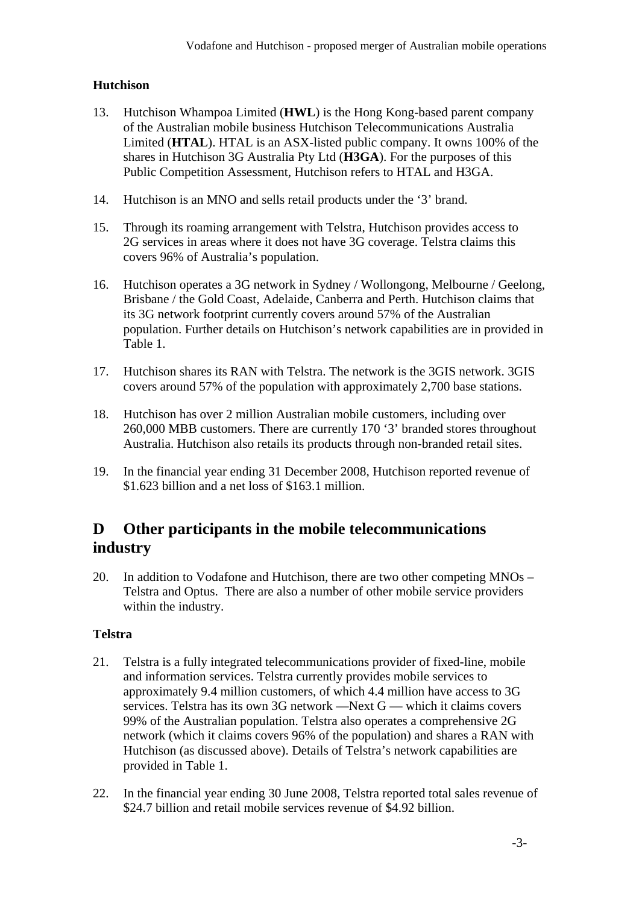### **Hutchison**

- 13. Hutchison Whampoa Limited (**HWL**) is the Hong Kong-based parent company of the Australian mobile business Hutchison Telecommunications Australia Limited (**HTAL**). HTAL is an ASX-listed public company. It owns 100% of the shares in Hutchison 3G Australia Pty Ltd (**H3GA**). For the purposes of this Public Competition Assessment, Hutchison refers to HTAL and H3GA.
- 14. Hutchison is an MNO and sells retail products under the '3' brand.
- 15. Through its roaming arrangement with Telstra, Hutchison provides access to 2G services in areas where it does not have 3G coverage. Telstra claims this covers 96% of Australia's population.
- 16. Hutchison operates a 3G network in Sydney / Wollongong, Melbourne / Geelong, Brisbane / the Gold Coast, Adelaide, Canberra and Perth. Hutchison claims that its 3G network footprint currently covers around 57% of the Australian population. Further details on Hutchison's network capabilities are in provided in Table 1.
- 17. Hutchison shares its RAN with Telstra. The network is the 3GIS network. 3GIS covers around 57% of the population with approximately 2,700 base stations.
- 18. Hutchison has over 2 million Australian mobile customers, including over 260,000 MBB customers. There are currently 170 '3' branded stores throughout Australia. Hutchison also retails its products through non-branded retail sites.
- 19. In the financial year ending 31 December 2008, Hutchison reported revenue of \$1.623 billion and a net loss of \$163.1 million.

## **D Other participants in the mobile telecommunications industry**

20. In addition to Vodafone and Hutchison, there are two other competing MNOs – Telstra and Optus. There are also a number of other mobile service providers within the industry.

### **Telstra**

- 21. Telstra is a fully integrated telecommunications provider of fixed-line, mobile and information services. Telstra currently provides mobile services to approximately 9.4 million customers, of which 4.4 million have access to 3G services. Telstra has its own 3G network —Next G — which it claims covers 99% of the Australian population. Telstra also operates a comprehensive 2G network (which it claims covers 96% of the population) and shares a RAN with Hutchison (as discussed above). Details of Telstra's network capabilities are provided in Table 1.
- 22. In the financial year ending 30 June 2008, Telstra reported total sales revenue of \$24.7 billion and retail mobile services revenue of \$4.92 billion.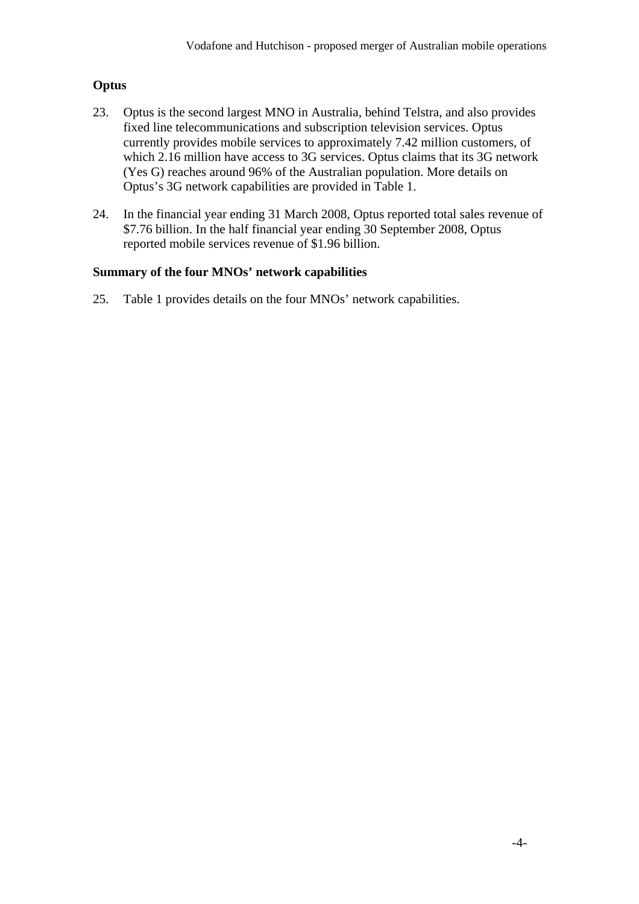### **Optus**

- 23. Optus is the second largest MNO in Australia, behind Telstra, and also provides fixed line telecommunications and subscription television services. Optus currently provides mobile services to approximately 7.42 million customers, of which 2.16 million have access to 3G services. Optus claims that its 3G network (Yes G) reaches around 96% of the Australian population. More details on Optus's 3G network capabilities are provided in Table 1.
- 24. In the financial year ending 31 March 2008, Optus reported total sales revenue of \$7.76 billion. In the half financial year ending 30 September 2008, Optus reported mobile services revenue of \$1.96 billion.

### **Summary of the four MNOs' network capabilities**

25. Table 1 provides details on the four MNOs' network capabilities.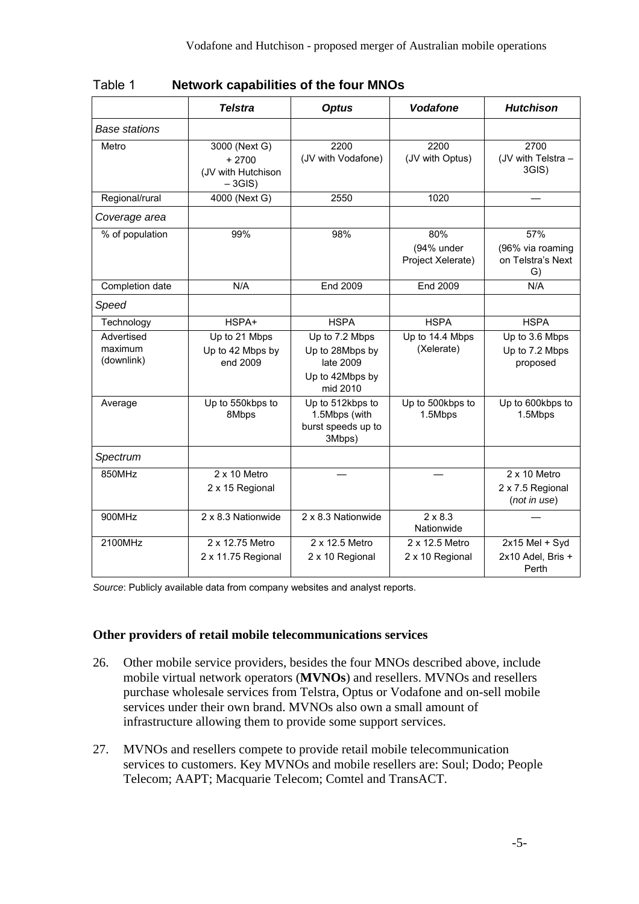| Table 1 | <b>Network capabilities of the four MNOs</b> |  |  |
|---------|----------------------------------------------|--|--|
|         |                                              |  |  |

|                                     | <b>Telstra</b>                                              | <b>Optus</b>                                                                  | <b>Vodafone</b>                            | <b>Hutchison</b>                                        |
|-------------------------------------|-------------------------------------------------------------|-------------------------------------------------------------------------------|--------------------------------------------|---------------------------------------------------------|
| <b>Base stations</b>                |                                                             |                                                                               |                                            |                                                         |
| Metro                               | 3000 (Next G)<br>$+2700$<br>(JV with Hutchison<br>$-3GIS$ ) | 2200<br>(JV with Vodafone)                                                    | 2200<br>(JV with Optus)                    | 2700<br>(JV with Telstra -<br>3GIS)                     |
| Regional/rural                      | 4000 (Next G)                                               | 2550                                                                          | 1020                                       |                                                         |
| Coverage area                       |                                                             |                                                                               |                                            |                                                         |
| % of population                     | 99%                                                         | 98%                                                                           | 80%<br>(94% under<br>Project Xelerate)     | 57%<br>(96% via roaming<br>on Telstra's Next<br>G)      |
| Completion date                     | N/A                                                         | End 2009                                                                      | End 2009                                   | N/A                                                     |
| Speed                               |                                                             |                                                                               |                                            |                                                         |
| Technology                          | HSPA+                                                       | <b>HSPA</b>                                                                   | <b>HSPA</b>                                | <b>HSPA</b>                                             |
| Advertised<br>maximum<br>(downlink) | $\overline{Up}$ to 21 Mbps<br>Up to 42 Mbps by<br>end 2009  | Up to 7.2 Mbps<br>Up to 28Mbps by<br>late 2009<br>Up to 42Mbps by<br>mid 2010 | $\overline{Up}$ to 14.4 Mbps<br>(Xelerate) | Up to 3.6 Mbps<br>Up to 7.2 Mbps<br>proposed            |
| Average                             | Up to 550kbps to<br>8Mbps                                   | Up to 512kbps to<br>1.5Mbps (with<br>burst speeds up to<br>3Mbps)             | Up to 500kbps to<br>1.5Mbps                | $\overline{Up}$ to 600kbps to<br>1.5Mbps                |
| Spectrum                            |                                                             |                                                                               |                                            |                                                         |
| 850MHz                              | 2 x 10 Metro<br>2 x 15 Regional                             |                                                                               |                                            | $2 \times 10$ Metro<br>2 x 7.5 Regional<br>(not in use) |
| 900MHz                              | 2 x 8.3 Nationwide                                          | 2 x 8.3 Nationwide                                                            | $2 \times 8.3$<br>Nationwide               |                                                         |
| 2100MHz                             | 2 x 12.75 Metro<br>2 x 11.75 Regional                       | 2 x 12.5 Metro<br>2 x 10 Regional                                             | 2 x 12.5 Metro<br>2 x 10 Regional          | 2x15 Mel + Syd<br>2x10 Adel, Bris +<br>Perth            |

*Source*: Publicly available data from company websites and analyst reports.

#### **Other providers of retail mobile telecommunications services**

- 26. Other mobile service providers, besides the four MNOs described above, include mobile virtual network operators (**MVNOs**) and resellers. MVNOs and resellers purchase wholesale services from Telstra, Optus or Vodafone and on-sell mobile services under their own brand. MVNOs also own a small amount of infrastructure allowing them to provide some support services.
- 27. MVNOs and resellers compete to provide retail mobile telecommunication services to customers. Key MVNOs and mobile resellers are: Soul; Dodo; People Telecom; AAPT; Macquarie Telecom; Comtel and TransACT.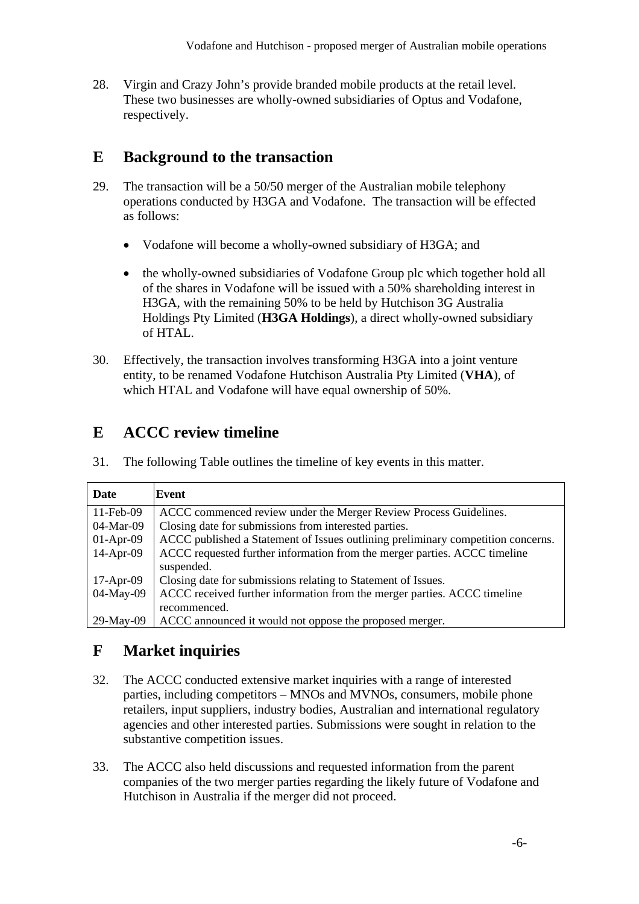28. Virgin and Crazy John's provide branded mobile products at the retail level. These two businesses are wholly-owned subsidiaries of Optus and Vodafone, respectively.

## **E Background to the transaction**

- 29. The transaction will be a 50/50 merger of the Australian mobile telephony operations conducted by H3GA and Vodafone. The transaction will be effected as follows:
	- Vodafone will become a wholly-owned subsidiary of H3GA; and
	- the wholly-owned subsidiaries of Vodafone Group plc which together hold all of the shares in Vodafone will be issued with a 50% shareholding interest in H3GA, with the remaining 50% to be held by Hutchison 3G Australia Holdings Pty Limited (**H3GA Holdings**), a direct wholly-owned subsidiary of HTAL.
- 30. Effectively, the transaction involves transforming H3GA into a joint venture entity, to be renamed Vodafone Hutchison Australia Pty Limited (**VHA**), of which HTAL and Vodafone will have equal ownership of 50%.

## **E ACCC review timeline**

31. The following Table outlines the timeline of key events in this matter.

| Date         | Event                                                                            |
|--------------|----------------------------------------------------------------------------------|
| $11$ -Feb-09 | ACCC commenced review under the Merger Review Process Guidelines.                |
| 04-Mar-09    | Closing date for submissions from interested parties.                            |
| $01-Apr-09$  | ACCC published a Statement of Issues outlining preliminary competition concerns. |
| $14$ -Apr-09 | ACCC requested further information from the merger parties. ACCC timeline        |
|              | suspended.                                                                       |
| $17-Apr-09$  | Closing date for submissions relating to Statement of Issues.                    |
| 04-May-09    | ACCC received further information from the merger parties. ACCC timeline         |
|              | recommenced.                                                                     |
| $29$ -May-09 | ACCC announced it would not oppose the proposed merger.                          |

## **F Market inquiries**

- 32. The ACCC conducted extensive market inquiries with a range of interested parties, including competitors – MNOs and MVNOs, consumers, mobile phone retailers, input suppliers, industry bodies, Australian and international regulatory agencies and other interested parties. Submissions were sought in relation to the substantive competition issues.
- 33. The ACCC also held discussions and requested information from the parent companies of the two merger parties regarding the likely future of Vodafone and Hutchison in Australia if the merger did not proceed.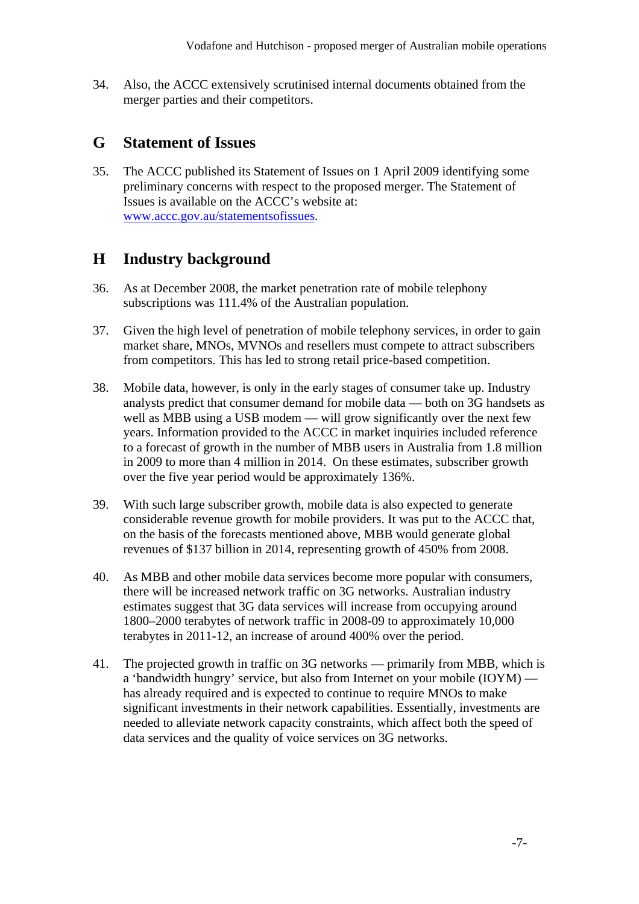34. Also, the ACCC extensively scrutinised internal documents obtained from the merger parties and their competitors.

### **G Statement of Issues**

35. The ACCC published its Statement of Issues on 1 April 2009 identifying some preliminary concerns with respect to the proposed merger. The Statement of Issues is available on the ACCC's website at: [www.accc.gov.au/statementsofissues](http://www.accc.gov.au/statementsofissues).

## **H Industry background**

- 36. As at December 2008, the market penetration rate of mobile telephony subscriptions was 111.4% of the Australian population.
- 37. Given the high level of penetration of mobile telephony services, in order to gain market share, MNOs, MVNOs and resellers must compete to attract subscribers from competitors. This has led to strong retail price-based competition.
- 38. Mobile data, however, is only in the early stages of consumer take up. Industry analysts predict that consumer demand for mobile data — both on 3G handsets as well as MBB using a USB modem — will grow significantly over the next few years. Information provided to the ACCC in market inquiries included reference to a forecast of growth in the number of MBB users in Australia from 1.8 million in 2009 to more than 4 million in 2014. On these estimates, subscriber growth over the five year period would be approximately 136%.
- 39. With such large subscriber growth, mobile data is also expected to generate considerable revenue growth for mobile providers. It was put to the ACCC that, on the basis of the forecasts mentioned above, MBB would generate global revenues of \$137 billion in 2014, representing growth of 450% from 2008.
- 40. As MBB and other mobile data services become more popular with consumers, there will be increased network traffic on 3G networks. Australian industry estimates suggest that 3G data services will increase from occupying around 1800–2000 terabytes of network traffic in 2008-09 to approximately 10,000 terabytes in 2011-12, an increase of around 400% over the period.
- 41. The projected growth in traffic on 3G networks primarily from MBB, which is a 'bandwidth hungry' service, but also from Internet on your mobile (IOYM) has already required and is expected to continue to require MNOs to make significant investments in their network capabilities. Essentially, investments are needed to alleviate network capacity constraints, which affect both the speed of data services and the quality of voice services on 3G networks.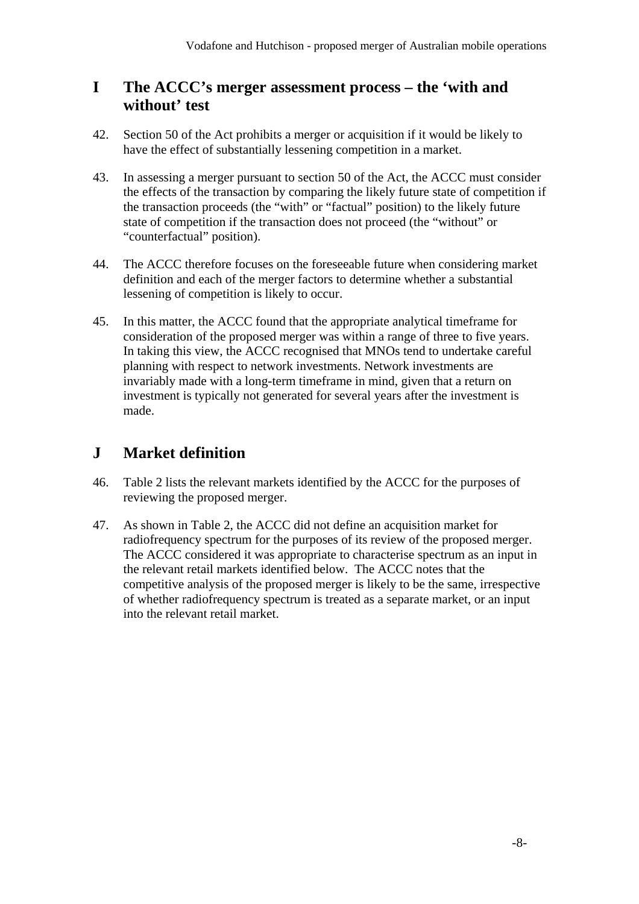## **I The ACCC's merger assessment process – the 'with and without' test**

- 42. Section 50 of the Act prohibits a merger or acquisition if it would be likely to have the effect of substantially lessening competition in a market.
- 43. In assessing a merger pursuant to section 50 of the Act, the ACCC must consider the effects of the transaction by comparing the likely future state of competition if the transaction proceeds (the "with" or "factual" position) to the likely future state of competition if the transaction does not proceed (the "without" or "counterfactual" position).
- 44. The ACCC therefore focuses on the foreseeable future when considering market definition and each of the merger factors to determine whether a substantial lessening of competition is likely to occur.
- 45. In this matter, the ACCC found that the appropriate analytical timeframe for consideration of the proposed merger was within a range of three to five years. In taking this view, the ACCC recognised that MNOs tend to undertake careful planning with respect to network investments. Network investments are invariably made with a long-term timeframe in mind, given that a return on investment is typically not generated for several years after the investment is made.

## **J Market definition**

- 46. Table 2 lists the relevant markets identified by the ACCC for the purposes of reviewing the proposed merger.
- 47. As shown in Table 2, the ACCC did not define an acquisition market for radiofrequency spectrum for the purposes of its review of the proposed merger. The ACCC considered it was appropriate to characterise spectrum as an input in the relevant retail markets identified below. The ACCC notes that the competitive analysis of the proposed merger is likely to be the same, irrespective of whether radiofrequency spectrum is treated as a separate market, or an input into the relevant retail market.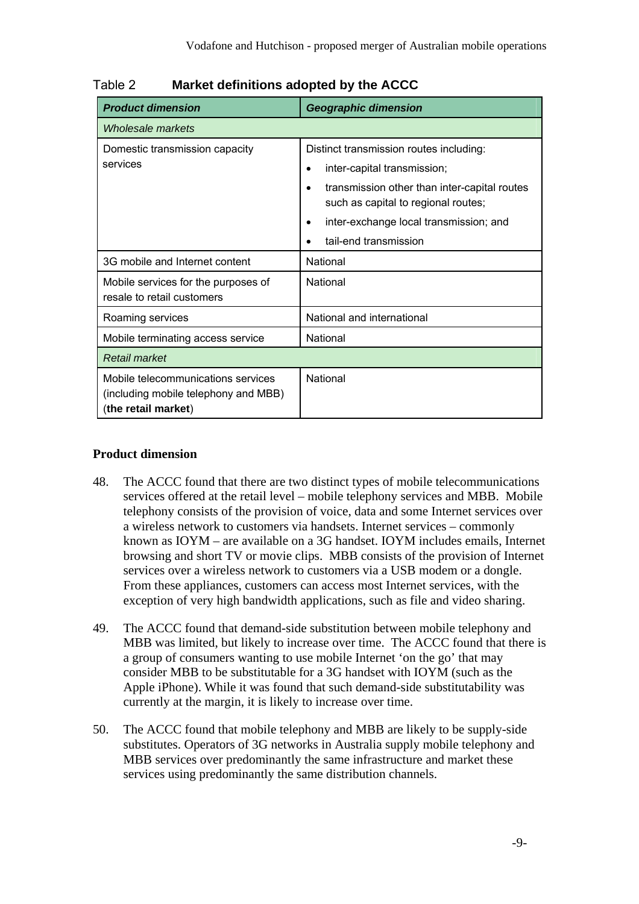| <b>Product dimension</b>                                                                          | <b>Geographic dimension</b>                                                         |  |  |
|---------------------------------------------------------------------------------------------------|-------------------------------------------------------------------------------------|--|--|
| Wholesale markets                                                                                 |                                                                                     |  |  |
| Domestic transmission capacity                                                                    | Distinct transmission routes including:                                             |  |  |
| services                                                                                          | inter-capital transmission;                                                         |  |  |
|                                                                                                   | transmission other than inter-capital routes<br>such as capital to regional routes; |  |  |
|                                                                                                   | inter-exchange local transmission; and                                              |  |  |
|                                                                                                   | tail-end transmission                                                               |  |  |
| 3G mobile and Internet content                                                                    | National                                                                            |  |  |
| Mobile services for the purposes of<br>resale to retail customers                                 | National                                                                            |  |  |
| Roaming services                                                                                  | National and international                                                          |  |  |
| Mobile terminating access service                                                                 | National                                                                            |  |  |
| <b>Retail market</b>                                                                              |                                                                                     |  |  |
| Mobile telecommunications services<br>(including mobile telephony and MBB)<br>(the retail market) | National                                                                            |  |  |

Table 2 **Market definitions adopted by the ACCC** 

#### **Product dimension**

- 48. The ACCC found that there are two distinct types of mobile telecommunications services offered at the retail level – mobile telephony services and MBB. Mobile telephony consists of the provision of voice, data and some Internet services over a wireless network to customers via handsets. Internet services – commonly known as IOYM – are available on a 3G handset. IOYM includes emails, Internet browsing and short TV or movie clips. MBB consists of the provision of Internet services over a wireless network to customers via a USB modem or a dongle. From these appliances, customers can access most Internet services, with the exception of very high bandwidth applications, such as file and video sharing.
- 49. The ACCC found that demand-side substitution between mobile telephony and MBB was limited, but likely to increase over time. The ACCC found that there is a group of consumers wanting to use mobile Internet 'on the go' that may consider MBB to be substitutable for a 3G handset with IOYM (such as the Apple iPhone). While it was found that such demand-side substitutability was currently at the margin, it is likely to increase over time.
- 50. The ACCC found that mobile telephony and MBB are likely to be supply-side substitutes. Operators of 3G networks in Australia supply mobile telephony and MBB services over predominantly the same infrastructure and market these services using predominantly the same distribution channels.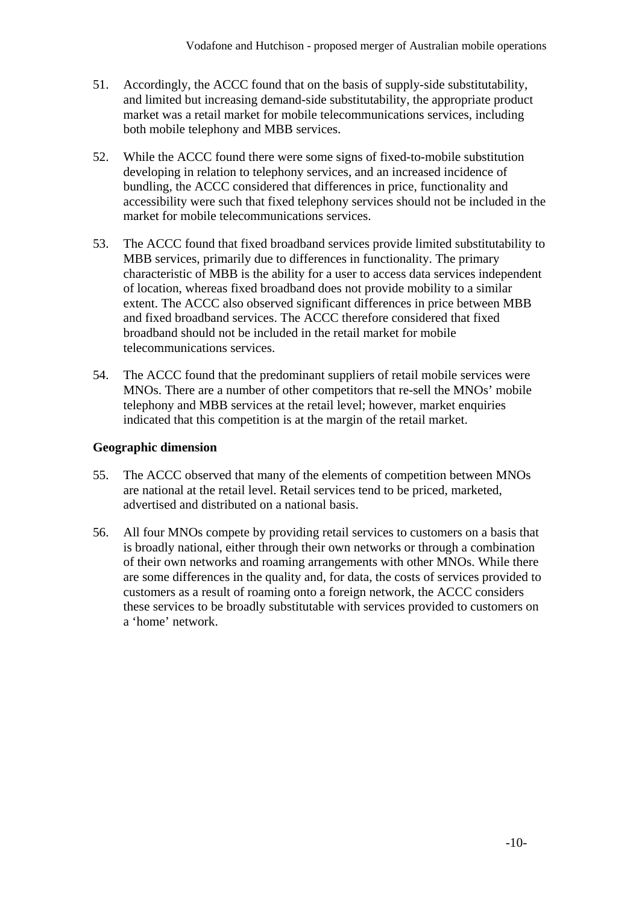- 51. Accordingly, the ACCC found that on the basis of supply-side substitutability, and limited but increasing demand-side substitutability, the appropriate product market was a retail market for mobile telecommunications services, including both mobile telephony and MBB services.
- 52. While the ACCC found there were some signs of fixed-to-mobile substitution developing in relation to telephony services, and an increased incidence of bundling, the ACCC considered that differences in price, functionality and accessibility were such that fixed telephony services should not be included in the market for mobile telecommunications services.
- 53. The ACCC found that fixed broadband services provide limited substitutability to MBB services, primarily due to differences in functionality. The primary characteristic of MBB is the ability for a user to access data services independent of location, whereas fixed broadband does not provide mobility to a similar extent. The ACCC also observed significant differences in price between MBB and fixed broadband services. The ACCC therefore considered that fixed broadband should not be included in the retail market for mobile telecommunications services.
- 54. The ACCC found that the predominant suppliers of retail mobile services were MNOs. There are a number of other competitors that re-sell the MNOs' mobile telephony and MBB services at the retail level; however, market enquiries indicated that this competition is at the margin of the retail market.

### **Geographic dimension**

- 55. The ACCC observed that many of the elements of competition between MNOs are national at the retail level. Retail services tend to be priced, marketed, advertised and distributed on a national basis.
- 56. All four MNOs compete by providing retail services to customers on a basis that is broadly national, either through their own networks or through a combination of their own networks and roaming arrangements with other MNOs. While there are some differences in the quality and, for data, the costs of services provided to customers as a result of roaming onto a foreign network, the ACCC considers these services to be broadly substitutable with services provided to customers on a 'home' network.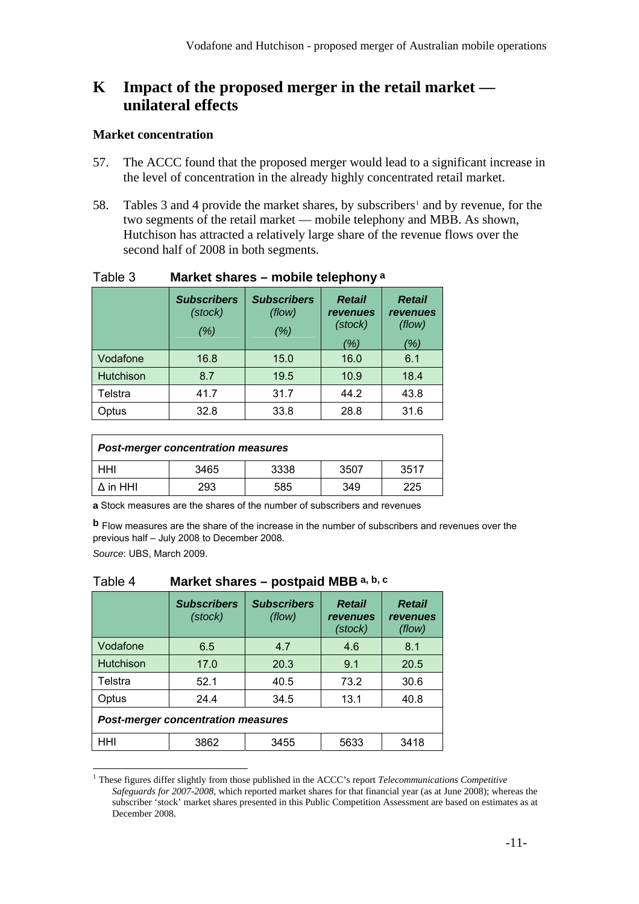## **K Impact of the proposed merger in the retail market unilateral effects**

#### **Market concentration**

- 57. The ACCC found that the proposed merger would lead to a significant increase in the level of concentration in the already highly concentrated retail market.
- 58. Tables 3 and 4 provide the market shares, by subscribers<sup>[1](#page-10-0)</sup> and by revenue, for the two segments of the retail market — mobile telephony and MBB. As shown, Hutchison has attracted a relatively large share of the revenue flows over the second half of 2008 in both segments.

| .<br>          |                                       |                                     |                                                           |                                                   |
|----------------|---------------------------------------|-------------------------------------|-----------------------------------------------------------|---------------------------------------------------|
|                | <b>Subscribers</b><br>(stock)<br>(% ) | <b>Subscribers</b><br>(flow)<br>(%) | <b>Retail</b><br><i><b>revenues</b></i><br>(stock)<br>(%) | <b>Retail</b><br><i>revenues</i><br>(flow)<br>(%) |
| Vodafone       | 16.8                                  | 15.0                                | 16.0                                                      | 6.1                                               |
| Hutchison      | 8.7                                   | 19.5                                | 10.9                                                      | 18.4                                              |
| <b>Telstra</b> | 41.7                                  | 31.7                                | 44.2                                                      | 43.8                                              |
| Optus          | 32.8                                  | 33.8                                | 28.8                                                      | 31.6                                              |

### Table 3 **Market shares – mobile telephony a**

| <b>Post-merger concentration measures</b> |      |      |      |      |  |
|-------------------------------------------|------|------|------|------|--|
| HHI                                       | 3465 | 3338 | 3507 | 3517 |  |
| $\Delta$ in HHI                           | 293  | 585  | 349  | 225  |  |

**a** Stock measures are the shares of the number of subscribers and revenues

**b** Flow measures are the share of the increase in the number of subscribers and revenues over the previous half – July 2008 to December 2008.

*Source*: UBS, March 2009.

 $\overline{a}$ 

#### Table 4 **Market shares – postpaid MBB a, b, c**

|                                           | <b>Subscribers</b><br>(stock) | <b>Subscribers</b><br>(flow) | <b>Retail</b><br><i>revenues</i><br>(stock) | <b>Retail</b><br><i>revenues</i><br>(flow) |  |
|-------------------------------------------|-------------------------------|------------------------------|---------------------------------------------|--------------------------------------------|--|
| Vodafone                                  | 6.5                           | 4.7                          | 4.6                                         | 8.1                                        |  |
| Hutchison                                 | 17.0                          | 20.3                         | 9.1                                         | 20.5                                       |  |
| Telstra                                   | 52.1                          | 40.5                         | 73.2                                        | 30.6                                       |  |
| Optus                                     | 24.4                          | 34.5                         | 13.1                                        | 40.8                                       |  |
| <b>Post-merger concentration measures</b> |                               |                              |                                             |                                            |  |
| HHI                                       | 3862                          | 3455                         | 5633                                        | 3418                                       |  |

<span id="page-10-0"></span><sup>1</sup> These figures differ slightly from those published in the ACCC's report *Telecommunications Competitive Safeguards for 2007-2008*, which reported market shares for that financial year (as at June 2008); whereas the subscriber 'stock' market shares presented in this Public Competition Assessment are based on estimates as at December 2008.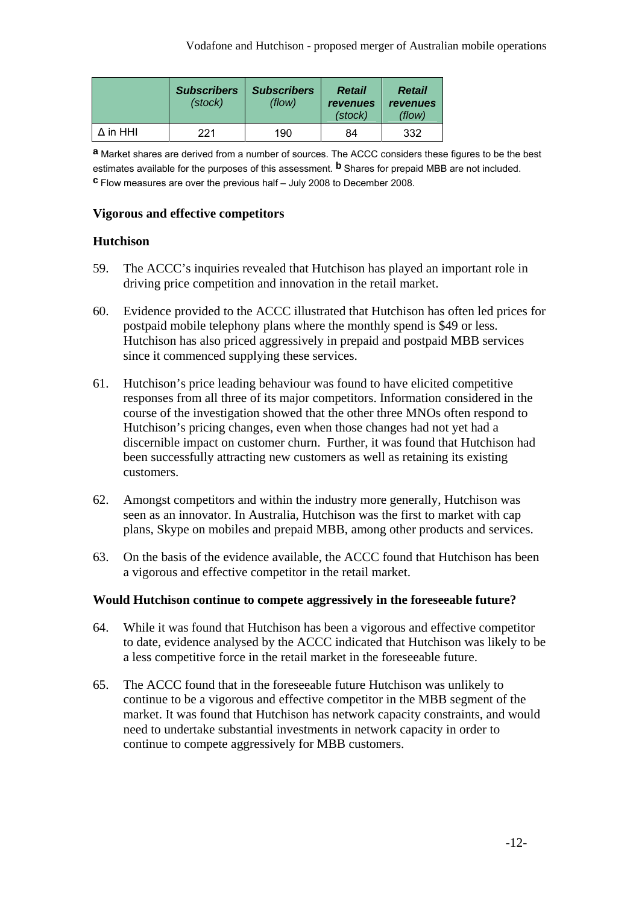|          | <b>Subscribers</b><br>(stock) | <b>Subscribers</b><br>(flow) | Retail<br>revenues<br>(stock) | Retail<br>revenues<br>(flow) |
|----------|-------------------------------|------------------------------|-------------------------------|------------------------------|
| ∆ in HHI | 221                           | 190                          | 84                            | 332                          |

**a** Market shares are derived from a number of sources. The ACCC considers these figures to be the best estimates available for the purposes of this assessment. **b** Shares for prepaid MBB are not included. **c** Flow measures are over the previous half – July 2008 to December 2008.

### **Vigorous and effective competitors**

### **Hutchison**

- 59. The ACCC's inquiries revealed that Hutchison has played an important role in driving price competition and innovation in the retail market.
- 60. Evidence provided to the ACCC illustrated that Hutchison has often led prices for postpaid mobile telephony plans where the monthly spend is \$49 or less. Hutchison has also priced aggressively in prepaid and postpaid MBB services since it commenced supplying these services.
- 61. Hutchison's price leading behaviour was found to have elicited competitive responses from all three of its major competitors. Information considered in the course of the investigation showed that the other three MNOs often respond to Hutchison's pricing changes, even when those changes had not yet had a discernible impact on customer churn. Further, it was found that Hutchison had been successfully attracting new customers as well as retaining its existing customers.
- 62. Amongst competitors and within the industry more generally, Hutchison was seen as an innovator. In Australia, Hutchison was the first to market with cap plans, Skype on mobiles and prepaid MBB, among other products and services.
- 63. On the basis of the evidence available, the ACCC found that Hutchison has been a vigorous and effective competitor in the retail market.

### **Would Hutchison continue to compete aggressively in the foreseeable future?**

- 64. While it was found that Hutchison has been a vigorous and effective competitor to date, evidence analysed by the ACCC indicated that Hutchison was likely to be a less competitive force in the retail market in the foreseeable future.
- 65. The ACCC found that in the foreseeable future Hutchison was unlikely to continue to be a vigorous and effective competitor in the MBB segment of the market. It was found that Hutchison has network capacity constraints, and would need to undertake substantial investments in network capacity in order to continue to compete aggressively for MBB customers.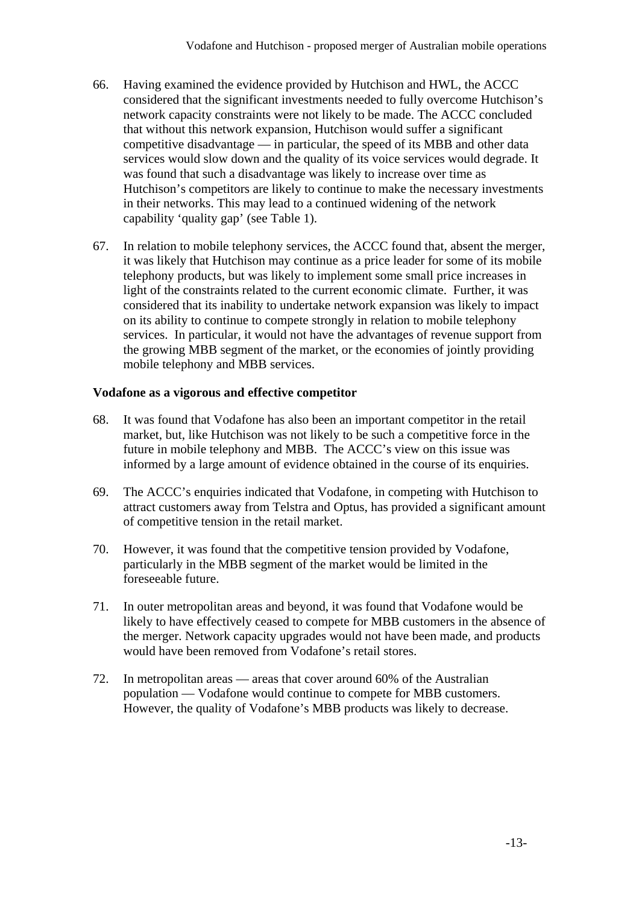- 66. Having examined the evidence provided by Hutchison and HWL, the ACCC considered that the significant investments needed to fully overcome Hutchison's network capacity constraints were not likely to be made. The ACCC concluded that without this network expansion, Hutchison would suffer a significant competitive disadvantage — in particular, the speed of its MBB and other data services would slow down and the quality of its voice services would degrade. It was found that such a disadvantage was likely to increase over time as Hutchison's competitors are likely to continue to make the necessary investments in their networks. This may lead to a continued widening of the network capability 'quality gap' (see Table 1).
- 67. In relation to mobile telephony services, the ACCC found that, absent the merger, it was likely that Hutchison may continue as a price leader for some of its mobile telephony products, but was likely to implement some small price increases in light of the constraints related to the current economic climate. Further, it was considered that its inability to undertake network expansion was likely to impact on its ability to continue to compete strongly in relation to mobile telephony services. In particular, it would not have the advantages of revenue support from the growing MBB segment of the market, or the economies of jointly providing mobile telephony and MBB services.

#### **Vodafone as a vigorous and effective competitor**

- 68. It was found that Vodafone has also been an important competitor in the retail market, but, like Hutchison was not likely to be such a competitive force in the future in mobile telephony and MBB. The ACCC's view on this issue was informed by a large amount of evidence obtained in the course of its enquiries.
- 69. The ACCC's enquiries indicated that Vodafone, in competing with Hutchison to attract customers away from Telstra and Optus, has provided a significant amount of competitive tension in the retail market.
- 70. However, it was found that the competitive tension provided by Vodafone, particularly in the MBB segment of the market would be limited in the foreseeable future.
- 71. In outer metropolitan areas and beyond, it was found that Vodafone would be likely to have effectively ceased to compete for MBB customers in the absence of the merger. Network capacity upgrades would not have been made, and products would have been removed from Vodafone's retail stores.
- 72. In metropolitan areas areas that cover around 60% of the Australian population — Vodafone would continue to compete for MBB customers. However, the quality of Vodafone's MBB products was likely to decrease.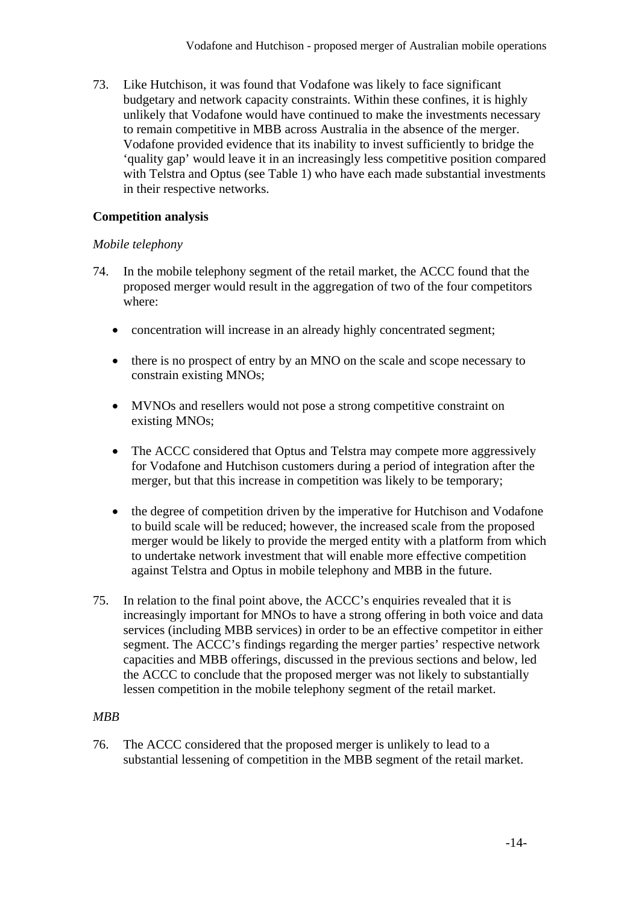73. Like Hutchison, it was found that Vodafone was likely to face significant budgetary and network capacity constraints. Within these confines, it is highly unlikely that Vodafone would have continued to make the investments necessary to remain competitive in MBB across Australia in the absence of the merger. Vodafone provided evidence that its inability to invest sufficiently to bridge the 'quality gap' would leave it in an increasingly less competitive position compared with Telstra and Optus (see Table 1) who have each made substantial investments in their respective networks.

#### **Competition analysis**

#### *Mobile telephony*

- 74. In the mobile telephony segment of the retail market, the ACCC found that the proposed merger would result in the aggregation of two of the four competitors where:
	- concentration will increase in an already highly concentrated segment;
	- there is no prospect of entry by an MNO on the scale and scope necessary to constrain existing MNOs;
	- MVNOs and resellers would not pose a strong competitive constraint on existing MNOs;
	- The ACCC considered that Optus and Telstra may compete more aggressively for Vodafone and Hutchison customers during a period of integration after the merger, but that this increase in competition was likely to be temporary;
	- the degree of competition driven by the imperative for Hutchison and Vodafone to build scale will be reduced; however, the increased scale from the proposed merger would be likely to provide the merged entity with a platform from which to undertake network investment that will enable more effective competition against Telstra and Optus in mobile telephony and MBB in the future.
- 75. In relation to the final point above, the ACCC's enquiries revealed that it is increasingly important for MNOs to have a strong offering in both voice and data services (including MBB services) in order to be an effective competitor in either segment. The ACCC's findings regarding the merger parties' respective network capacities and MBB offerings, discussed in the previous sections and below, led the ACCC to conclude that the proposed merger was not likely to substantially lessen competition in the mobile telephony segment of the retail market.

### *MBB*

76. The ACCC considered that the proposed merger is unlikely to lead to a substantial lessening of competition in the MBB segment of the retail market.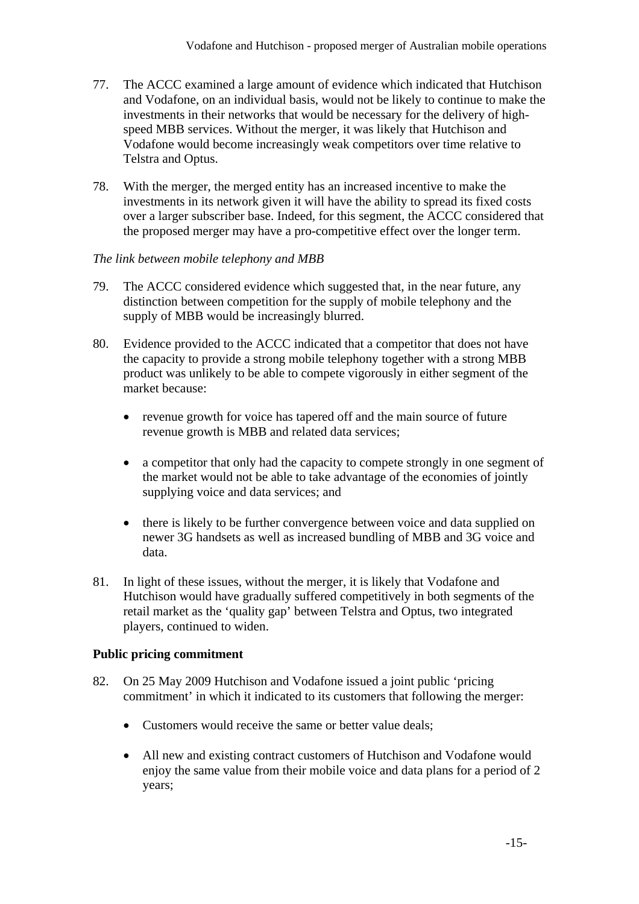- 77. The ACCC examined a large amount of evidence which indicated that Hutchison and Vodafone, on an individual basis, would not be likely to continue to make the investments in their networks that would be necessary for the delivery of highspeed MBB services. Without the merger, it was likely that Hutchison and Vodafone would become increasingly weak competitors over time relative to Telstra and Optus.
- 78. With the merger, the merged entity has an increased incentive to make the investments in its network given it will have the ability to spread its fixed costs over a larger subscriber base. Indeed, for this segment, the ACCC considered that the proposed merger may have a pro-competitive effect over the longer term.

### *The link between mobile telephony and MBB*

- 79. The ACCC considered evidence which suggested that, in the near future, any distinction between competition for the supply of mobile telephony and the supply of MBB would be increasingly blurred.
- 80. Evidence provided to the ACCC indicated that a competitor that does not have the capacity to provide a strong mobile telephony together with a strong MBB product was unlikely to be able to compete vigorously in either segment of the market because:
	- revenue growth for voice has tapered off and the main source of future revenue growth is MBB and related data services;
	- a competitor that only had the capacity to compete strongly in one segment of the market would not be able to take advantage of the economies of jointly supplying voice and data services; and
	- there is likely to be further convergence between voice and data supplied on newer 3G handsets as well as increased bundling of MBB and 3G voice and data.
- 81. In light of these issues, without the merger, it is likely that Vodafone and Hutchison would have gradually suffered competitively in both segments of the retail market as the 'quality gap' between Telstra and Optus, two integrated players, continued to widen.

### **Public pricing commitment**

- 82. On 25 May 2009 Hutchison and Vodafone issued a joint public 'pricing commitment' in which it indicated to its customers that following the merger:
	- Customers would receive the same or better value deals;
	- All new and existing contract customers of Hutchison and Vodafone would enjoy the same value from their mobile voice and data plans for a period of 2 years;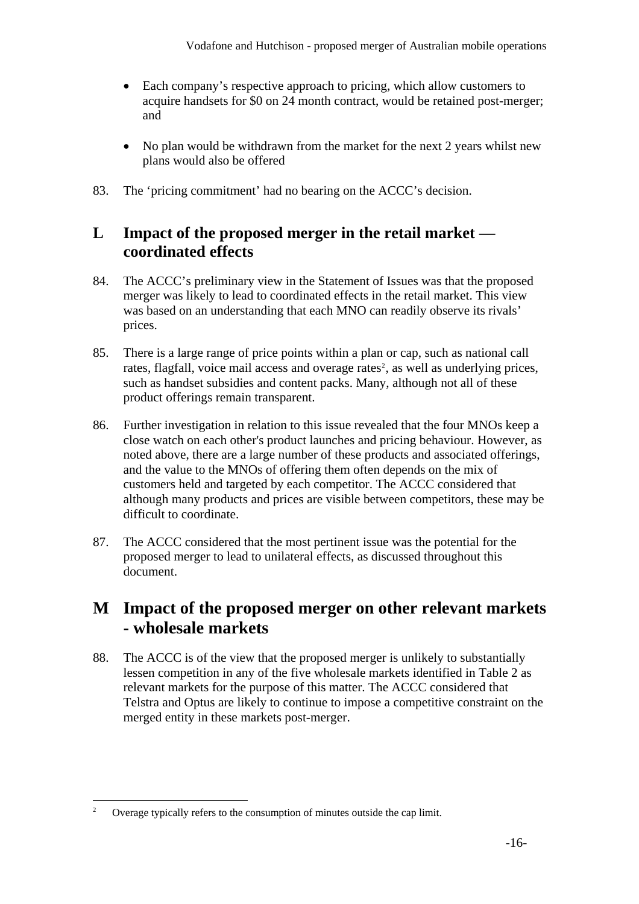- Each company's respective approach to pricing, which allow customers to acquire handsets for \$0 on 24 month contract, would be retained post-merger; and
- No plan would be withdrawn from the market for the next 2 years whilst new plans would also be offered
- 83. The 'pricing commitment' had no bearing on the ACCC's decision.

## **L Impact of the proposed merger in the retail market coordinated effects**

- 84. The ACCC's preliminary view in the Statement of Issues was that the proposed merger was likely to lead to coordinated effects in the retail market. This view was based on an understanding that each MNO can readily observe its rivals' prices.
- 85. There is a large range of price points within a plan or cap, such as national call rates, flagfall, voice mail access and overage rates<sup>[2](#page-15-0)</sup>, as well as underlying prices, such as handset subsidies and content packs. Many, although not all of these product offerings remain transparent.
- 86. Further investigation in relation to this issue revealed that the four MNOs keep a close watch on each other's product launches and pricing behaviour. However, as noted above, there are a large number of these products and associated offerings, and the value to the MNOs of offering them often depends on the mix of customers held and targeted by each competitor. The ACCC considered that although many products and prices are visible between competitors, these may be difficult to coordinate.
- 87. The ACCC considered that the most pertinent issue was the potential for the proposed merger to lead to unilateral effects, as discussed throughout this document.

## **M Impact of the proposed merger on other relevant markets - wholesale markets**

88. The ACCC is of the view that the proposed merger is unlikely to substantially lessen competition in any of the five wholesale markets identified in Table 2 as relevant markets for the purpose of this matter. The ACCC considered that Telstra and Optus are likely to continue to impose a competitive constraint on the merged entity in these markets post-merger.

<span id="page-15-0"></span> $\overline{a}$ 2 Overage typically refers to the consumption of minutes outside the cap limit.